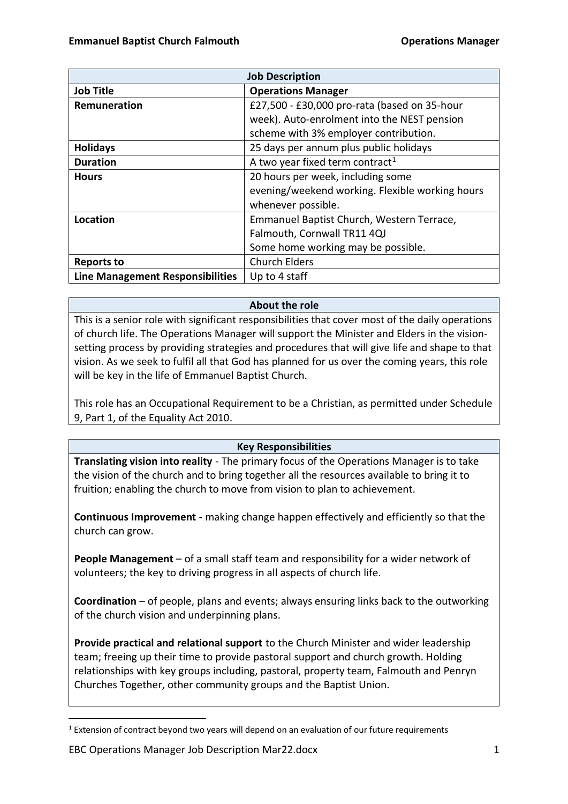| <b>Job Description</b>           |                                                 |
|----------------------------------|-------------------------------------------------|
| <b>Job Title</b>                 | <b>Operations Manager</b>                       |
| Remuneration                     | £27,500 - £30,000 pro-rata (based on 35-hour    |
|                                  | week). Auto-enrolment into the NEST pension     |
|                                  | scheme with 3% employer contribution.           |
| <b>Holidays</b>                  | 25 days per annum plus public holidays          |
| <b>Duration</b>                  | A two year fixed term contract <sup>1</sup>     |
| <b>Hours</b>                     | 20 hours per week, including some               |
|                                  | evening/weekend working. Flexible working hours |
|                                  | whenever possible.                              |
| Location                         | Emmanuel Baptist Church, Western Terrace,       |
|                                  | Falmouth, Cornwall TR11 4QJ                     |
|                                  | Some home working may be possible.              |
| <b>Reports to</b>                | <b>Church Elders</b>                            |
| Line Management Responsibilities | Up to 4 staff                                   |

# **About the role**

This is a senior role with significant responsibilities that cover most of the daily operations of church life. The Operations Manager will support the Minister and Elders in the visionsetting process by providing strategies and procedures that will give life and shape to that vision. As we seek to fulfil all that God has planned for us over the coming years, this role will be key in the life of Emmanuel Baptist Church.

This role has an Occupational Requirement to be a Christian, as permitted under Schedule 9, Part 1, of the Equality Act 2010.

#### **Key Responsibilities**

**Translating vision into reality** - The primary focus of the Operations Manager is to take the vision of the church and to bring together all the resources available to bring it to fruition; enabling the church to move from vision to plan to achievement.

**Continuous Improvement** - making change happen effectively and efficiently so that the church can grow.

**People Management** – of a small staff team and responsibility for a wider network of volunteers; the key to driving progress in all aspects of church life.

**Coordination** – of people, plans and events; always ensuring links back to the outworking of the church vision and underpinning plans.

**Provide practical and relational support** to the Church Minister and wider leadership team; freeing up their time to provide pastoral support and church growth. Holding relationships with key groups including, pastoral, property team, Falmouth and Penryn Churches Together, other community groups and the Baptist Union.

<sup>&</sup>lt;sup>1</sup> Extension of contract beyond two years will depend on an evaluation of our future requirements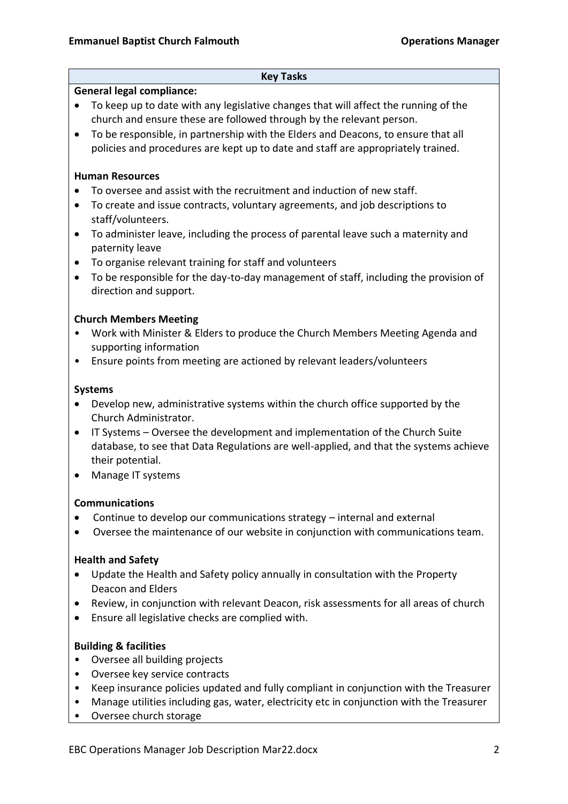#### **Key Tasks**

#### **General legal compliance:**

- To keep up to date with any legislative changes that will affect the running of the church and ensure these are followed through by the relevant person.
- To be responsible, in partnership with the Elders and Deacons, to ensure that all policies and procedures are kept up to date and staff are appropriately trained.

## **Human Resources**

- To oversee and assist with the recruitment and induction of new staff.
- To create and issue contracts, voluntary agreements, and job descriptions to staff/volunteers.
- To administer leave, including the process of parental leave such a maternity and paternity leave
- To organise relevant training for staff and volunteers
- To be responsible for the day-to-day management of staff, including the provision of direction and support.

### **Church Members Meeting**

- Work with Minister & Elders to produce the Church Members Meeting Agenda and supporting information
- Ensure points from meeting are actioned by relevant leaders/volunteers

### **Systems**

- Develop new, administrative systems within the church office supported by the Church Administrator.
- IT Systems Oversee the development and implementation of the Church Suite database, to see that Data Regulations are well-applied, and that the systems achieve their potential.
- Manage IT systems

# **Communications**

- Continue to develop our communications strategy internal and external
- Oversee the maintenance of our website in conjunction with communications team.

# **Health and Safety**

- Update the Health and Safety policy annually in consultation with the Property Deacon and Elders
- Review, in conjunction with relevant Deacon, risk assessments for all areas of church
- Ensure all legislative checks are complied with.

# **Building & facilities**

- Oversee all building projects
- Oversee key service contracts
- Keep insurance policies updated and fully compliant in conjunction with the Treasurer
- Manage utilities including gas, water, electricity etc in conjunction with the Treasurer
- Oversee church storage